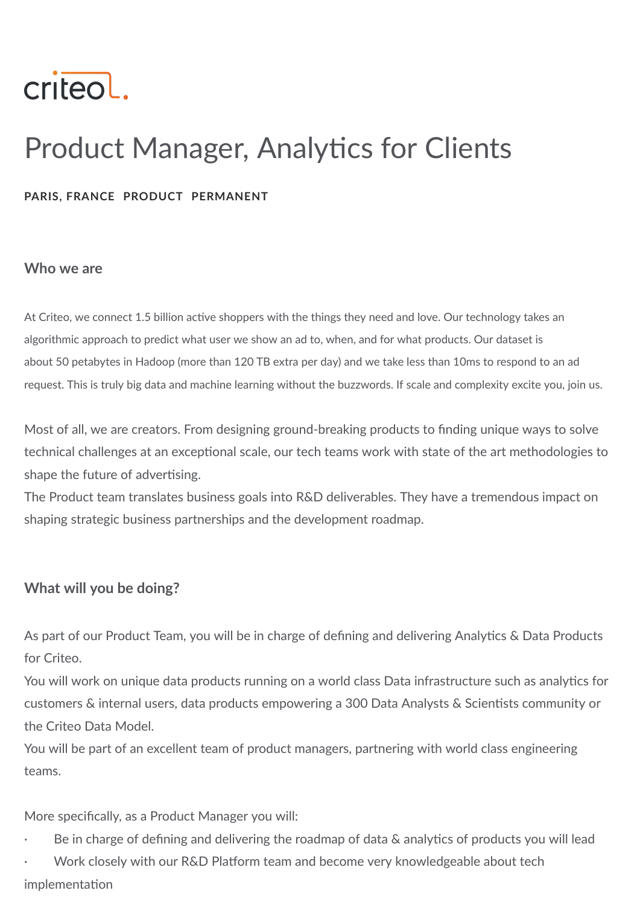

# Product Manager, Analytics for Clients

#### **PARIS, FRANCE PRODUCT PERMANENT**

#### **Who we are**

At Criteo, we connect 1.5 billion active shoppers with the things they need and love. Our technology takes an algorithmic approach to predict what user we show an ad to, when, and for what products. Our dataset is about 50 petabytes in Hadoop (more than 120 TB extra per day) and we take less than 10ms to respond to an ad request. This is truly big data and machine learning without the buzzwords. If scale and complexity excite you, join us.

Most of all, we are creators. From designing ground-breaking products to finding unique ways to solve technical challenges at an exceptional scale, our tech teams work with state of the art methodologies to shape the future of advertising.

The Product team translates business goals into R&D deliverables. They have a tremendous impact on shaping strategic business partnerships and the development roadmap.

## **What will you be doing?**

As part of our Product Team, you will be in charge of defining and delivering Analytics & Data Products for Criteo.

You will work on unique data products running on a world class Data infrastructure such as analytics for customers & internal users, data products empowering a 300 Data Analysts & Scientists community or the Criteo Data Model.

You will be part of an excellent team of product managers, partnering with world class engineering teams.

More specifically, as a Product Manager you will:

- Be in charge of defining and delivering the roadmap of data  $\&$  analytics of products you will lead
- Work closely with our R&D Platform team and become very knowledgeable about tech implementation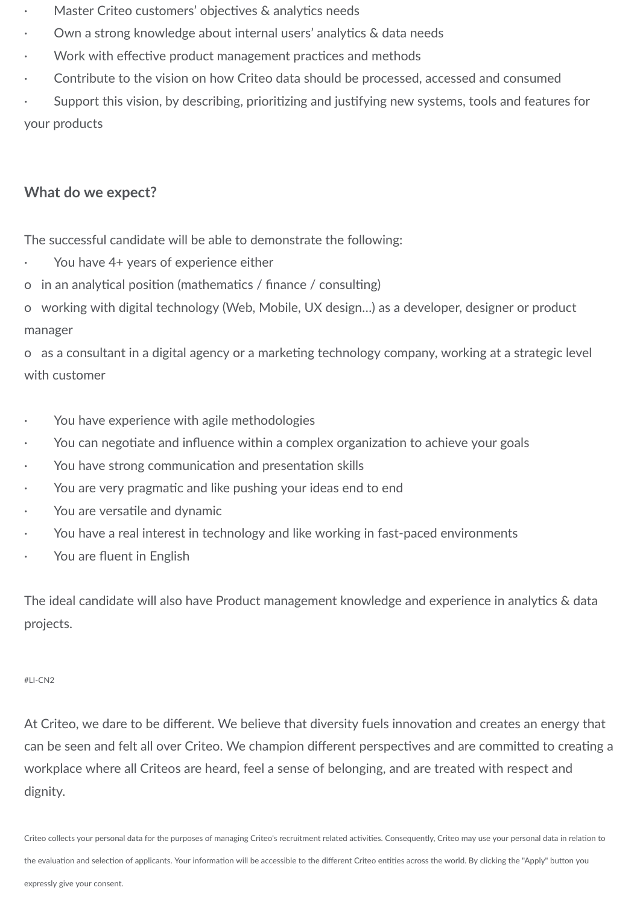- Master Criteo customers' objectives & analytics needs
- Own a strong knowledge about internal users' analytics & data needs
- Work with effective product management practices and methods
- Contribute to the vision on how Criteo data should be processed, accessed and consumed

Support this vision, by describing, prioritizing and justifying new systems, tools and features for your products

### **What do we expect?**

The successful candidate will be able to demonstrate the following:

- You have 4+ years of experience either
- o in an analytical position (mathematics / finance / consulting)
- o working with digital technology (Web, Mobile, UX design…) as a developer, designer or product manager

o as a consultant in a digital agency or a marketing technology company, working at a strategic level with customer

- You have experience with agile methodologies
- You can negotiate and influence within a complex organization to achieve your goals
- You have strong communication and presentation skills
- You are very pragmatic and like pushing your ideas end to end
- You are versatile and dynamic
- You have a real interest in technology and like working in fast-paced environments
- You are fluent in English

The ideal candidate will also have Product management knowledge and experience in analytics & data projects.

#### #LI-CN2

At Criteo, we dare to be different. We believe that diversity fuels innovation and creates an energy that can be seen and felt all over Criteo. We champion different perspectives and are committed to creating a workplace where all Criteos are heard, feel a sense of belonging, and are treated with respect and dignity.

Criteo collects your personal data for the purposes of managing Criteo's recruitment related activities. Consequently, Criteo may use your personal data in relation to

the evaluation and selection of applicants. Your information will be accessible to the different Criteo entities across the world. By clicking the "Apply" button you